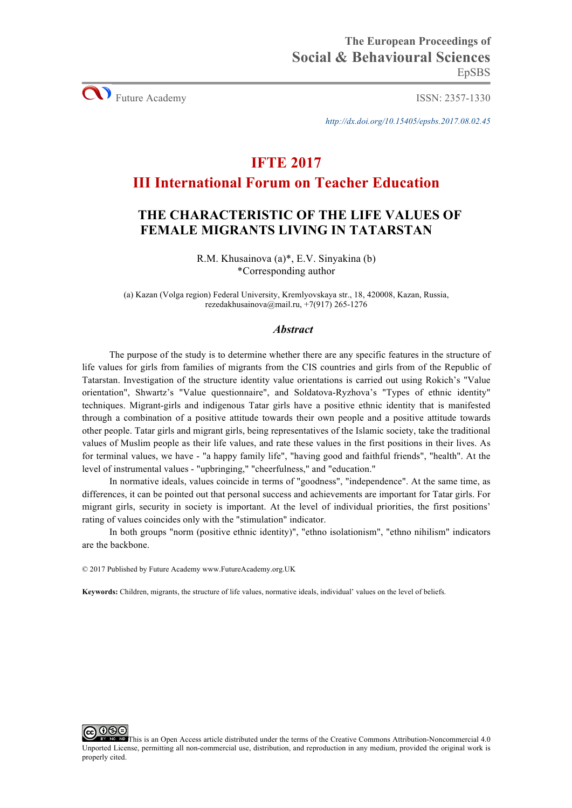**CO** Future Academy ISSN: 2357-1330

*http://dx.doi.org/10.15405/epsbs.2017.08.02.45*

# **IFTE 2017**

# **III International Forum on Teacher Education**

# **THE CHARACTERISTIC OF THE LIFE VALUES OF FEMALE MIGRANTS LIVING IN TATARSTAN**

R.M. Khusainova (а)\*, E.V. Sinyakina (b) \*Corresponding author

(a) Kazan (Volga region) Federal University, Kremlyovskaya str., 18, 420008, Kazan, Russia, rezedakhusainova@mail.ru, +7(917) 265-1276

# *Abstract*

The purpose of the study is to determine whether there are any specific features in the structure of life values for girls from families of migrants from the CIS countries and girls from of the Republic of Tatarstan. Investigation of the structure identity value orientations is carried out using Rokich's "Value orientation", Shwartz's "Value questionnaire", and Soldatova-Ryzhova's "Types of ethnic identity" techniques. Migrant-girls and indigenous Tatar girls have a positive ethnic identity that is manifested through a combination of a positive attitude towards their own people and a positive attitude towards other people. Tatar girls and migrant girls, being representatives of the Islamic society, take the traditional values of Muslim people as their life values, and rate these values in the first positions in their lives. As for terminal values, we have - "a happy family life", "having good and faithful friends", "health". At the level of instrumental values - "upbringing," "cheerfulness," and "education."

In normative ideals, values coincide in terms of "goodness", "independence". At the same time, as differences, it can be pointed out that personal success and achievements are important for Tatar girls. For migrant girls, security in society is important. At the level of individual priorities, the first positions' rating of values coincides only with the "stimulation" indicator.

In both groups "norm (positive ethnic identity)", "ethno isolationism", "ethno nihilism" indicators are the backbone.

© 2017 Published by Future Academy www.FutureAcademy.org.UK

**Keywords:** Children, migrants, the structure of life values, normative ideals, individual' values on the level of beliefs.

This is an Open Access article distributed under the terms of the Creative Commons Attribution-Noncommercial 4.0 Unported License, permitting all non-commercial use, distribution, and reproduction in any medium, provided the original work is properly cited.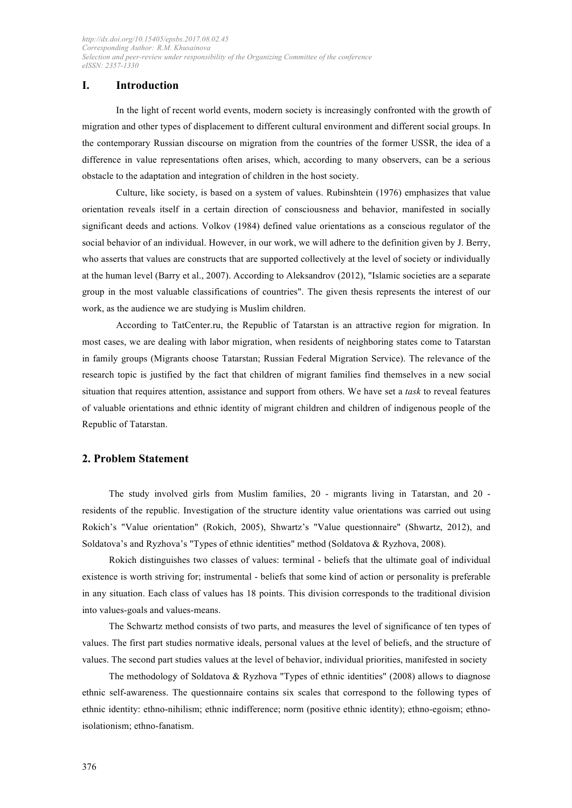## **I. Introduction**

In the light of recent world events, modern society is increasingly confronted with the growth of migration and other types of displacement to different cultural environment and different social groups. In the contemporary Russian discourse on migration from the countries of the former USSR, the idea of a difference in value representations often arises, which, according to many observers, can be a serious obstacle to the adaptation and integration of children in the host society.

Culture, like society, is based on a system of values. Rubinshtein (1976) emphasizes that value orientation reveals itself in a certain direction of consciousness and behavior, manifested in socially significant deeds and actions. Volkov (1984) defined value orientations as a conscious regulator of the social behavior of an individual. However, in our work, we will adhere to the definition given by J. Berry, who asserts that values are constructs that are supported collectively at the level of society or individually at the human level (Barry et al., 2007). According to Aleksandrov (2012), "Islamic societies are a separate group in the most valuable classifications of countries". The given thesis represents the interest of our work, as the audience we are studying is Muslim children.

According to TatCenter.ru, the Republic of Tatarstan is an attractive region for migration. In most cases, we are dealing with labor migration, when residents of neighboring states come to Tatarstan in family groups (Migrants choose Tatarstan; Russian Federal Migration Service). The relevance of the research topic is justified by the fact that children of migrant families find themselves in a new social situation that requires attention, assistance and support from others. We have set a *task* to reveal features of valuable orientations and ethnic identity of migrant children and children of indigenous people of the Republic of Tatarstan.

## **2. Problem Statement**

The study involved girls from Muslim families, 20 - migrants living in Tatarstan, and 20 residents of the republic. Investigation of the structure identity value orientations was carried out using Rokich's "Value orientation" (Rokich, 2005), Shwartz's "Value questionnaire" (Shwartz, 2012), and Soldatova's and Ryzhova's "Types of ethnic identities" method (Soldatova & Ryzhova, 2008).

Rokich distinguishes two classes of values: terminal - beliefs that the ultimate goal of individual existence is worth striving for; instrumental - beliefs that some kind of action or personality is preferable in any situation. Each class of values has 18 points. This division corresponds to the traditional division into values-goals and values-means.

The Schwartz method consists of two parts, and measures the level of significance of ten types of values. The first part studies normative ideals, personal values at the level of beliefs, and the structure of values. The second part studies values at the level of behavior, individual priorities, manifested in society

The methodology of Soldatova & Ryzhova "Types of ethnic identities" (2008) allows to diagnose ethnic self-awareness. The questionnaire contains six scales that correspond to the following types of ethnic identity: ethno-nihilism; ethnic indifference; norm (positive ethnic identity); ethno-egoism; ethnoisolationism; ethno-fanatism.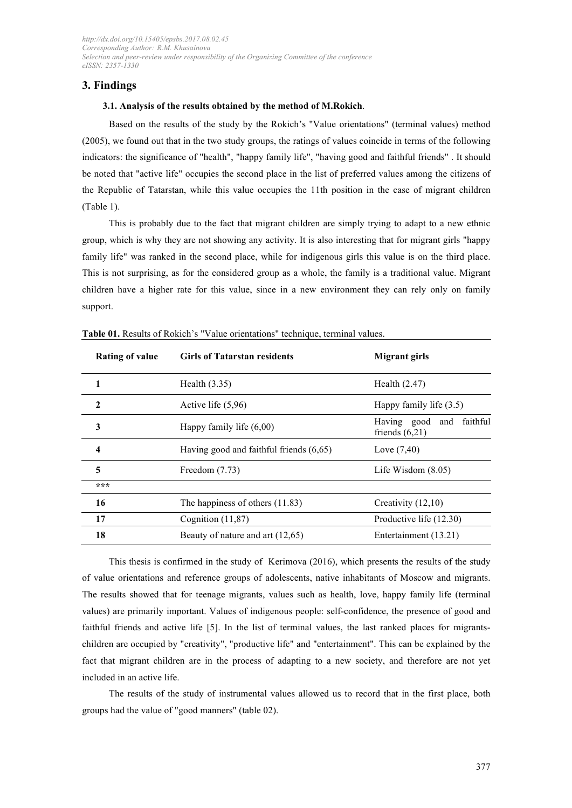## **3. Findings**

#### **3.1. Analysis of the results obtained by the method of M.Rokich***.*

Based on the results of the study by the Rokich's "Value orientations" (terminal values) method (2005), we found out that in the two study groups, the ratings of values coincide in terms of the following indicators: the significance of "health", "happy family life", "having good and faithful friends" . It should be noted that "active life" occupies the second place in the list of preferred values among the citizens of the Republic of Tatarstan, while this value occupies the 11th position in the case of migrant children (Table 1).

This is probably due to the fact that migrant children are simply trying to adapt to a new ethnic group, which is why they are not showing any activity. It is also interesting that for migrant girls "happy family life" was ranked in the second place, while for indigenous girls this value is on the third place. This is not surprising, as for the considered group as a whole, the family is a traditional value. Migrant children have a higher rate for this value, since in a new environment they can rely only on family support.

| <b>Rating of value</b> | <b>Girls of Tatarstan residents</b>       | Migrant girls                                   |
|------------------------|-------------------------------------------|-------------------------------------------------|
|                        | Health $(3.35)$                           | Health $(2.47)$                                 |
| $\mathbf{2}$           | Active life $(5,96)$                      | Happy family life $(3.5)$                       |
| 3                      | Happy family life $(6,00)$                | faithful<br>Having good and<br>friends $(6,21)$ |
| 4                      | Having good and faithful friends $(6,65)$ | Love $(7, 40)$                                  |
| 5                      | Freedom $(7.73)$                          | Life Wisdom $(8.05)$                            |
| ***                    |                                           |                                                 |
| 16                     | The happiness of others $(11.83)$         | Creativity (12,10)                              |
| 17                     | Cognition $(11,87)$                       | Productive life (12.30)                         |
| 18                     | Beauty of nature and art (12,65)          | Entertainment (13.21)                           |

**Table 01.** Results of Rokich's "Value orientations" technique, terminal values.

This thesis is confirmed in the study of Kerimova (2016), which presents the results of the study of value orientations and reference groups of adolescents, native inhabitants of Moscow and migrants. The results showed that for teenage migrants, values such as health, love, happy family life (terminal values) are primarily important. Values of indigenous people: self-confidence, the presence of good and faithful friends and active life [5]. In the list of terminal values, the last ranked places for migrantschildren are occupied by "creativity", "productive life" and "entertainment". This can be explained by the fact that migrant children are in the process of adapting to a new society, and therefore are not yet included in an active life.

The results of the study of instrumental values allowed us to record that in the first place, both groups had the value of "good manners" (table 02).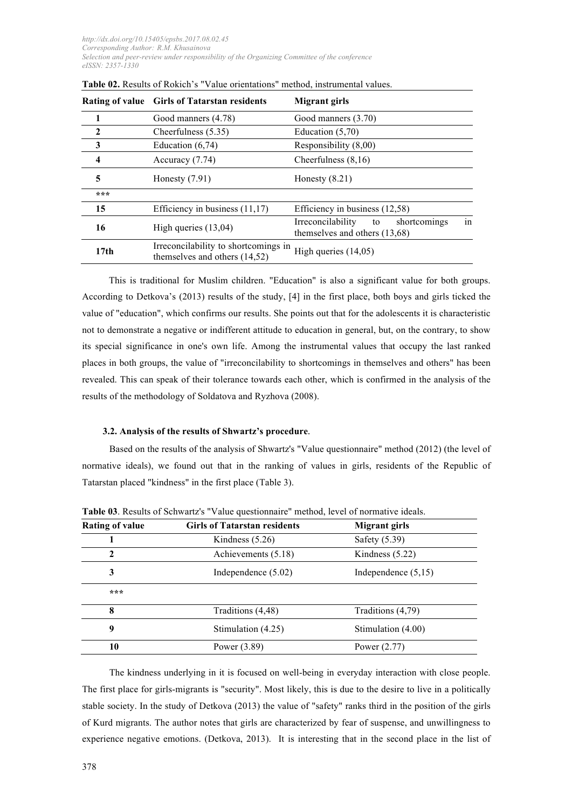|                  | Rating of value Girls of Tatarstan residents                            | <b>Migrant girls</b>                                                           |
|------------------|-------------------------------------------------------------------------|--------------------------------------------------------------------------------|
|                  | Good manners (4.78)                                                     | Good manners (3.70)                                                            |
| 2                | Cheerfulness $(5.35)$                                                   | Education $(5,70)$                                                             |
| 3                | Education $(6,74)$                                                      | Responsibility (8,00)                                                          |
| 4                | Accuracy $(7.74)$                                                       | Cheerfulness $(8,16)$                                                          |
| 5                | Honesty $(7.91)$                                                        | Honesty $(8.21)$                                                               |
| ***              |                                                                         |                                                                                |
| 15               | Efficiency in business $(11,17)$                                        | Efficiency in business (12,58)                                                 |
| 16               | High queries $(13,04)$                                                  | in<br>shortcomings<br>Irreconcilability<br>to<br>themselves and others (13,68) |
| 17 <sub>th</sub> | Irreconcilability to shortcomings in<br>themselves and others $(14,52)$ | High queries $(14,05)$                                                         |

**Table 02.** Results of Rokich's "Value orientations" method, instrumental values.

This is traditional for Muslim children. "Education" is also a significant value for both groups. According to Detkova's (2013) results of the study, [4] in the first place, both boys and girls ticked the value of "education", which confirms our results. She points out that for the adolescents it is characteristic not to demonstrate a negative or indifferent attitude to education in general, but, on the contrary, to show its special significance in one's own life. Among the instrumental values that occupy the last ranked places in both groups, the value of "irreconcilability to shortcomings in themselves and others" has been revealed. This can speak of their tolerance towards each other, which is confirmed in the analysis of the results of the methodology of Soldatova and Ryzhova (2008).

### **3.2. Analysis of the results of Shwartz's procedure***.*

Based on the results of the analysis of Shwartz's "Value questionnaire" method (2012) (the level of normative ideals), we found out that in the ranking of values in girls, residents of the Republic of Tatarstan placed "kindness" in the first place (Table 3).

| Rating of value | <b>Girls of Tatarstan residents</b> | Migrant girls         |
|-----------------|-------------------------------------|-----------------------|
|                 | Kindness $(5.26)$                   | Safety (5.39)         |
| 2               | Achievements (5.18)                 | Kindness $(5.22)$     |
| 3               | Independence $(5.02)$               | Independence $(5,15)$ |
| ***             |                                     |                       |
| 8               | Traditions (4,48)                   | Traditions (4,79)     |
| 9               | Stimulation (4.25)                  | Stimulation (4.00)    |
| 10              | Power (3.89)                        | Power $(2.77)$        |

**Table 03**. Results of Schwartz's "Value questionnaire" method, level of normative ideals.

The kindness underlying in it is focused on well-being in everyday interaction with close people. The first place for girls-migrants is "security". Most likely, this is due to the desire to live in a politically stable society. In the study of Detkova (2013) the value of "safety" ranks third in the position of the girls of Kurd migrants. The author notes that girls are characterized by fear of suspense, and unwillingness to experience negative emotions. (Detkova, 2013). It is interesting that in the second place in the list of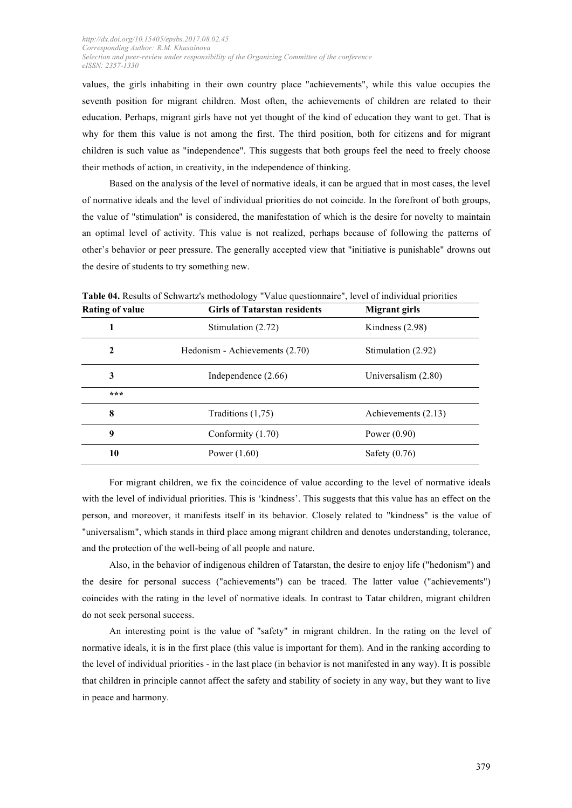values, the girls inhabiting in their own country place "achievements", while this value occupies the seventh position for migrant children. Most often, the achievements of children are related to their education. Perhaps, migrant girls have not yet thought of the kind of education they want to get. That is why for them this value is not among the first. The third position, both for citizens and for migrant children is such value as "independence". This suggests that both groups feel the need to freely choose their methods of action, in creativity, in the independence of thinking.

Based on the analysis of the level of normative ideals, it can be argued that in most cases, the level of normative ideals and the level of individual priorities do not coincide. In the forefront of both groups, the value of "stimulation" is considered, the manifestation of which is the desire for novelty to maintain an optimal level of activity. This value is not realized, perhaps because of following the patterns of other's behavior or peer pressure. The generally accepted view that "initiative is punishable" drowns out the desire of students to try something new.

| <b>Rating of value</b> | <b>Girls of Tatarstan residents</b> | Migrant girls         |
|------------------------|-------------------------------------|-----------------------|
|                        | Stimulation (2.72)                  | Kindness $(2.98)$     |
| $\mathbf 2$            | Hedonism - Achievements (2.70)      | Stimulation (2.92)    |
| 3                      | Independence $(2.66)$               | Universalism $(2.80)$ |
| ***                    |                                     |                       |
| 8                      | Traditions $(1,75)$                 | Achievements (2.13)   |
| 9                      | Conformity $(1.70)$                 | Power $(0.90)$        |
| 10                     | Power $(1.60)$                      | Safety $(0.76)$       |

**Table 04.** Results of Schwartz's methodology "Value questionnaire", level of individual priorities

For migrant children, we fix the coincidence of value according to the level of normative ideals with the level of individual priorities. This is 'kindness'. This suggests that this value has an effect on the person, and moreover, it manifests itself in its behavior. Closely related to "kindness" is the value of "universalism", which stands in third place among migrant children and denotes understanding, tolerance, and the protection of the well-being of all people and nature.

Also, in the behavior of indigenous children of Tatarstan, the desire to enjoy life ("hedonism") and the desire for personal success ("achievements") can be traced. The latter value ("achievements") coincides with the rating in the level of normative ideals. In contrast to Tatar children, migrant children do not seek personal success.

An interesting point is the value of "safety" in migrant children. In the rating on the level of normative ideals, it is in the first place (this value is important for them). And in the ranking according to the level of individual priorities - in the last place (in behavior is not manifested in any way). It is possible that children in principle cannot affect the safety and stability of society in any way, but they want to live in peace and harmony.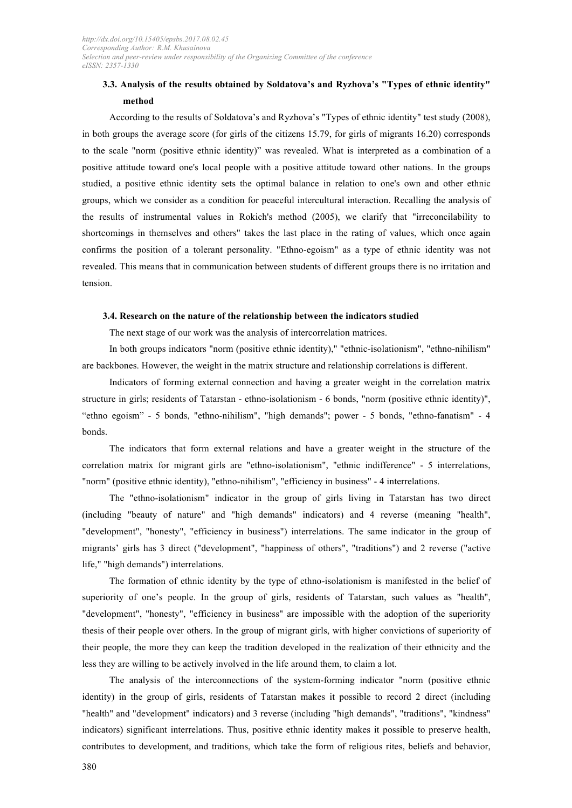# **3.3. Analysis of the results obtained by Soldatova's and Ryzhova's "Types of ethnic identity" method**

According to the results of Soldatova's and Ryzhova's "Types of ethnic identity" test study (2008), in both groups the average score (for girls of the citizens 15.79, for girls of migrants 16.20) corresponds to the scale "norm (positive ethnic identity)" was revealed. What is interpreted as a combination of a positive attitude toward one's local people with a positive attitude toward other nations. In the groups studied, a positive ethnic identity sets the optimal balance in relation to one's own and other ethnic groups, which we consider as a condition for peaceful intercultural interaction. Recalling the analysis of the results of instrumental values in Rokich's method (2005), we clarify that "irreconcilability to shortcomings in themselves and others" takes the last place in the rating of values, which once again confirms the position of a tolerant personality. "Ethno-egoism" as a type of ethnic identity was not revealed. This means that in communication between students of different groups there is no irritation and tension.

#### **3.4. Research on the nature of the relationship between the indicators studied**

The next stage of our work was the analysis of intercorrelation matrices.

In both groups indicators "norm (positive ethnic identity)," "ethnic-isolationism", "ethno-nihilism" are backbones. However, the weight in the matrix structure and relationship correlations is different.

Indicators of forming external connection and having a greater weight in the correlation matrix structure in girls; residents of Tatarstan - ethno-isolationism - 6 bonds, "norm (positive ethnic identity)", "ethno egoism" - 5 bonds, "ethno-nihilism", "high demands"; power - 5 bonds, "ethno-fanatism" - 4 bonds.

The indicators that form external relations and have a greater weight in the structure of the correlation matrix for migrant girls are "ethno-isolationism", "ethnic indifference" - 5 interrelations, "norm" (positive ethnic identity), "ethno-nihilism", "efficiency in business" - 4 interrelations.

The "ethno-isolationism" indicator in the group of girls living in Tatarstan has two direct (including "beauty of nature" and "high demands" indicators) and 4 reverse (meaning "health", "development", "honesty", "efficiency in business") interrelations. The same indicator in the group of migrants' girls has 3 direct ("development", "happiness of others", "traditions") and 2 reverse ("active life," "high demands") interrelations.

The formation of ethnic identity by the type of ethno-isolationism is manifested in the belief of superiority of one's people. In the group of girls, residents of Tatarstan, such values as "health", "development", "honesty", "efficiency in business" are impossible with the adoption of the superiority thesis of their people over others. In the group of migrant girls, with higher convictions of superiority of their people, the more they can keep the tradition developed in the realization of their ethnicity and the less they are willing to be actively involved in the life around them, to claim a lot.

The analysis of the interconnections of the system-forming indicator "norm (positive ethnic identity) in the group of girls, residents of Tatarstan makes it possible to record 2 direct (including "health" and "development" indicators) and 3 reverse (including "high demands", "traditions", "kindness" indicators) significant interrelations. Thus, positive ethnic identity makes it possible to preserve health, contributes to development, and traditions, which take the form of religious rites, beliefs and behavior,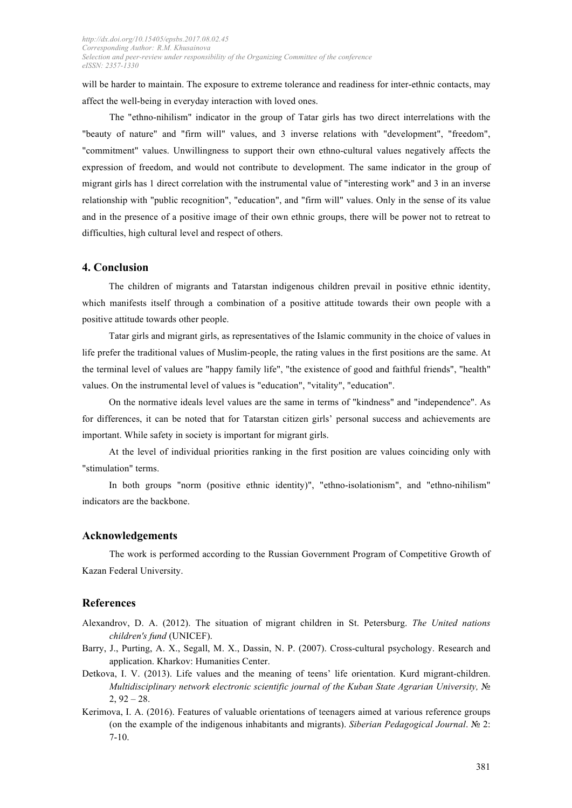will be harder to maintain. The exposure to extreme tolerance and readiness for inter-ethnic contacts, may affect the well-being in everyday interaction with loved ones.

The "ethno-nihilism" indicator in the group of Tatar girls has two direct interrelations with the "beauty of nature" and "firm will" values, and 3 inverse relations with "development", "freedom", "commitment" values. Unwillingness to support their own ethno-cultural values negatively affects the expression of freedom, and would not contribute to development. The same indicator in the group of migrant girls has 1 direct correlation with the instrumental value of "interesting work" and 3 in an inverse relationship with "public recognition", "education", and "firm will" values. Only in the sense of its value and in the presence of a positive image of their own ethnic groups, there will be power not to retreat to difficulties, high cultural level and respect of others.

### **4. Conclusion**

The children of migrants and Tatarstan indigenous children prevail in positive ethnic identity, which manifests itself through a combination of a positive attitude towards their own people with a positive attitude towards other people.

Tatar girls and migrant girls, as representatives of the Islamic community in the choice of values in life prefer the traditional values of Muslim-people, the rating values in the first positions are the same. At the terminal level of values are "happy family life", "the existence of good and faithful friends", "health" values. On the instrumental level of values is "education", "vitality", "education".

On the normative ideals level values are the same in terms of "kindness" and "independence". As for differences, it can be noted that for Tatarstan citizen girls' personal success and achievements are important. While safety in society is important for migrant girls.

At the level of individual priorities ranking in the first position are values coinciding only with "stimulation" terms.

In both groups "norm (positive ethnic identity)", "ethno-isolationism", and "ethno-nihilism" indicators are the backbone.

### **Acknowledgements**

The work is performed according to the Russian Government Program of Competitive Growth of Kazan Federal University.

### **References**

- Alexandrov, D. A. (2012). The situation of migrant children in St. Petersburg. *The United nations children's fund* (UNICEF).
- Barry, J., Purting, A. X., Segall, M. X., Dassin, N. P. (2007). Cross-cultural psychology. Research and application. Kharkov: Humanities Center.
- Detkova, I. V. (2013). Life values and the meaning of teens' life orientation. Kurd migrant-children. *Multidisciplinary network electronic scientific journal of the Kuban State Agrarian University,* №  $2, 92 - 28.$
- Kerimova, I. A. (2016). Features of valuable orientations of teenagers aimed at various reference groups (on the example of the indigenous inhabitants and migrants). *Siberian Pedagogical Journal*. № 2: 7-10.